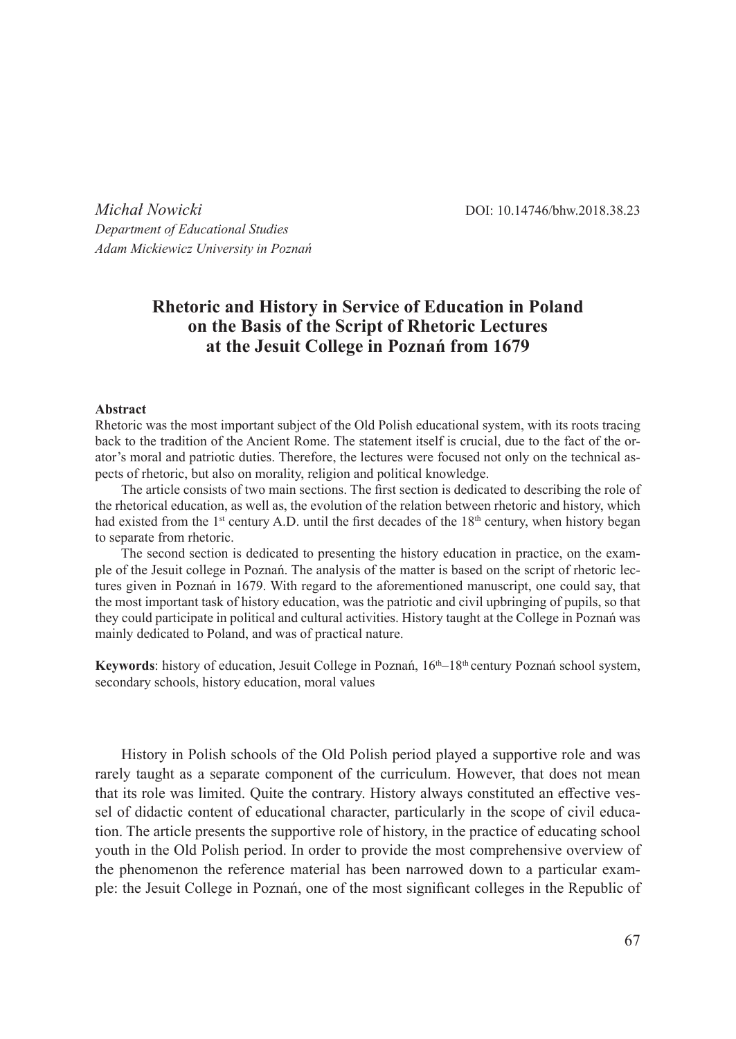*Michał Nowicki* DOI: 10.14746/bhw.2018.38.23 *Department of Educational Studies Adam Mickiewicz University in Poznań*

## **Rhetoric and History in Service of Education in Poland on the Basis of the Script of Rhetoric Lectures at the Jesuit College in Poznań from 1679**

## **Abstract**

Rhetoric was the most important subject of the Old Polish educational system, with its roots tracing back to the tradition of the Ancient Rome. The statement itself is crucial, due to the fact of the orator's moral and patriotic duties. Therefore, the lectures were focused not only on the technical aspects of rhetoric, but also on morality, religion and political knowledge.

The article consists of two main sections. The first section is dedicated to describing the role of the rhetorical education, as well as, the evolution of the relation between rhetoric and history, which had existed from the  $1<sup>st</sup>$  century A.D. until the first decades of the  $18<sup>th</sup>$  century, when history began to separate from rhetoric.

The second section is dedicated to presenting the history education in practice, on the example of the Jesuit college in Poznań. The analysis of the matter is based on the script of rhetoric lectures given in Poznań in 1679. With regard to the aforementioned manuscript, one could say, that the most important task of history education, was the patriotic and civil upbringing of pupils, so that they could participate in political and cultural activities. History taught at the College in Poznań was mainly dedicated to Poland, and was of practical nature.

**Keywords**: history of education, Jesuit College in Poznań, 16<sup>th</sup>–18<sup>th</sup> century Poznań school system, secondary schools, history education, moral values

History in Polish schools of the Old Polish period played a supportive role and was rarely taught as a separate component of the curriculum. However, that does not mean that its role was limited. Quite the contrary. History always constituted an effective vessel of didactic content of educational character, particularly in the scope of civil education. The article presents the supportive role of history, in the practice of educating school youth in the Old Polish period. In order to provide the most comprehensive overview of the phenomenon the reference material has been narrowed down to a particular example: the Jesuit College in Poznań, one of the most significant colleges in the Republic of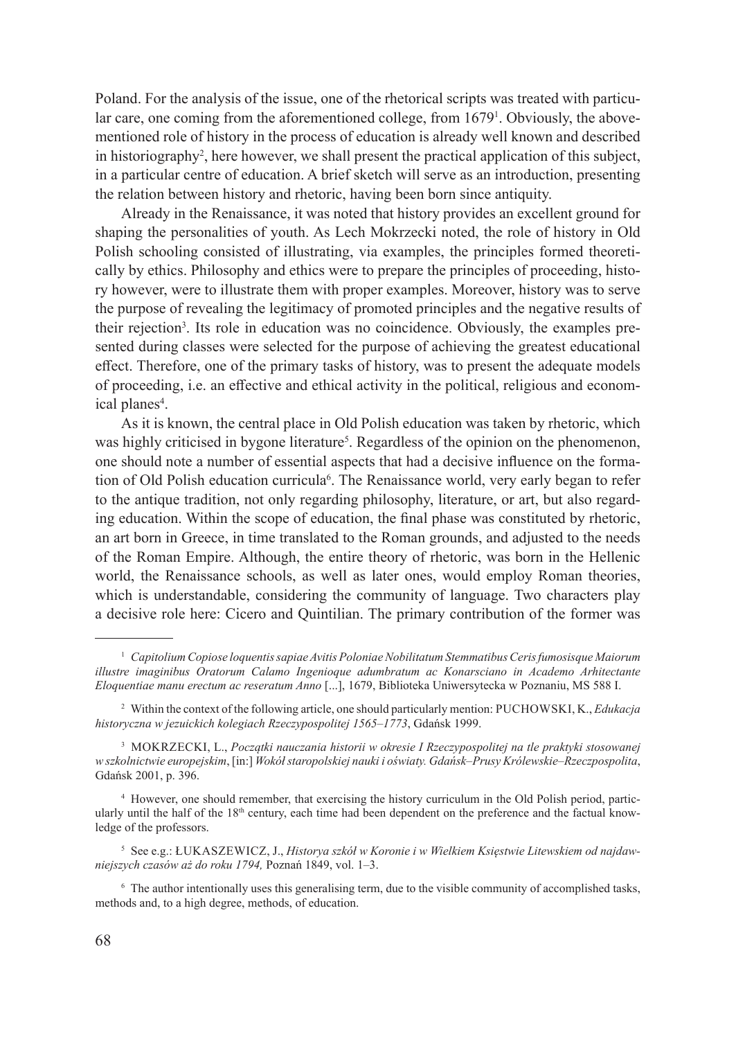Poland. For the analysis of the issue, one of the rhetorical scripts was treated with particular care, one coming from the aforementioned college, from 1679<sup>1</sup>. Obviously, the abovementioned role of history in the process of education is already well known and described in historiography<sup>2</sup> , here however, we shall present the practical application of this subject, in a particular centre of education. A brief sketch will serve as an introduction, presenting the relation between history and rhetoric, having been born since antiquity.

Already in the Renaissance, it was noted that history provides an excellent ground for shaping the personalities of youth. As Lech Mokrzecki noted, the role of history in Old Polish schooling consisted of illustrating, via examples, the principles formed theoretically by ethics. Philosophy and ethics were to prepare the principles of proceeding, history however, were to illustrate them with proper examples. Moreover, history was to serve the purpose of revealing the legitimacy of promoted principles and the negative results of their rejection<sup>3</sup>. Its role in education was no coincidence. Obviously, the examples presented during classes were selected for the purpose of achieving the greatest educational effect. Therefore, one of the primary tasks of history, was to present the adequate models of proceeding, i.e. an effective and ethical activity in the political, religious and economical planes<sup>4</sup>.

As it is known, the central place in Old Polish education was taken by rhetoric, which was highly criticised in bygone literature<sup>5</sup>. Regardless of the opinion on the phenomenon, one should note a number of essential aspects that had a decisive influence on the formation of Old Polish education curricula<sup>6</sup>. The Renaissance world, very early began to refer to the antique tradition, not only regarding philosophy, literature, or art, but also regarding education. Within the scope of education, the final phase was constituted by rhetoric, an art born in Greece, in time translated to the Roman grounds, and adjusted to the needs of the Roman Empire. Although, the entire theory of rhetoric, was born in the Hellenic world, the Renaissance schools, as well as later ones, would employ Roman theories, which is understandable, considering the community of language. Two characters play a decisive role here: Cicero and Quintilian. The primary contribution of the former was

<sup>4</sup> However, one should remember, that exercising the history curriculum in the Old Polish period, particularly until the half of the  $18<sup>th</sup>$  century, each time had been dependent on the preference and the factual knowledge of the professors.

<sup>5</sup> See e.g.: Łukaszewicz, J., *Historya szkół w Koronie i w Wielkiem Księstwie Litewskiem od najdawniejszych czasów aż do roku 1794,* Poznań 1849, vol. 1–3.

<sup>1</sup> *Capitolium Copiose loquentis sapiae Avitis Poloniae Nobilitatum Stemmatibus Ceris fumosisque Maiorum illustre imaginibus Oratorum Calamo Ingenioque adumbratum ac Konarsciano in Academo Arhitectante Eloquentiae manu erectum ac reseratum Anno* [...], 1679, Biblioteka Uniwersytecka w Poznaniu, MS 588 I.

<sup>2</sup> Within the context of the following article, one should particularly mention: Puchowski, K., *Edukacja historyczna w jezuickich kolegiach Rzeczypospolitej 1565–1773*, Gdańsk 1999.

<sup>3</sup> Mokrzecki, L., *Początki nauczania historii w okresie I Rzeczypospolitej na tle praktyki stosowanej w szkolnictwie europejskim*, [in:] *Wokół staropolskiej nauki i oświaty. Gdańsk–Prusy Królewskie–Rzeczpospolita*, Gdańsk 2001, p. 396.

<sup>6</sup> The author intentionally uses this generalising term, due to the visible community of accomplished tasks, methods and, to a high degree, methods, of education.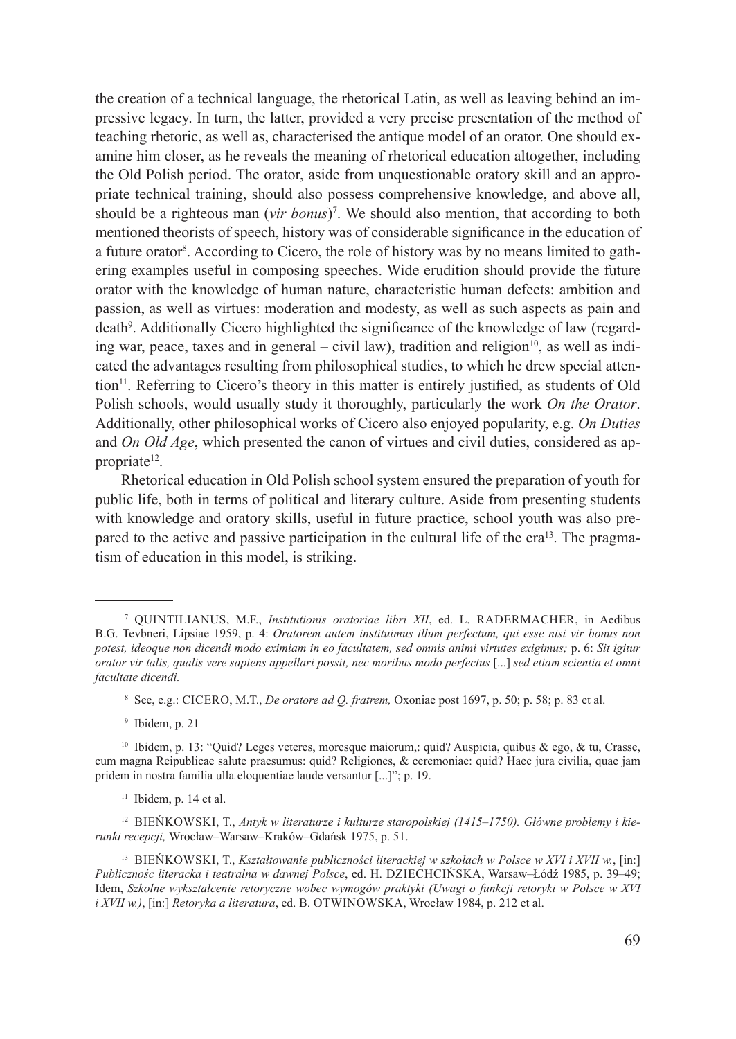the creation of a technical language, the rhetorical Latin, as well as leaving behind an impressive legacy. In turn, the latter, provided a very precise presentation of the method of teaching rhetoric, as well as, characterised the antique model of an orator. One should examine him closer, as he reveals the meaning of rhetorical education altogether, including the Old Polish period. The orator, aside from unquestionable oratory skill and an appropriate technical training, should also possess comprehensive knowledge, and above all, should be a righteous man (*vir bonus*)7 . We should also mention, that according to both mentioned theorists of speech, history was of considerable significance in the education of a future orator<sup>8</sup>. According to Cicero, the role of history was by no means limited to gathering examples useful in composing speeches. Wide erudition should provide the future orator with the knowledge of human nature, characteristic human defects: ambition and passion, as well as virtues: moderation and modesty, as well as such aspects as pain and death<sup>9</sup>. Additionally Cicero highlighted the significance of the knowledge of law (regarding war, peace, taxes and in general – civil law), tradition and religion<sup>10</sup>, as well as indicated the advantages resulting from philosophical studies, to which he drew special attention<sup>11</sup>. Referring to Cicero's theory in this matter is entirely justified, as students of Old Polish schools, would usually study it thoroughly, particularly the work *On the Orator*. Additionally, other philosophical works of Cicero also enjoyed popularity, e.g. *On Duties*  and *On Old Age*, which presented the canon of virtues and civil duties, considered as appropriate<sup>12</sup>.

Rhetorical education in Old Polish school system ensured the preparation of youth for public life, both in terms of political and literary culture. Aside from presenting students with knowledge and oratory skills, useful in future practice, school youth was also prepared to the active and passive participation in the cultural life of the era<sup>13</sup>. The pragmatism of education in this model, is striking.

<sup>&</sup>lt;sup>7</sup> QUINTILIANUS, M.F., *Institutionis oratoriae libri XII*, ed. L. RADERMACHER, in Aedibus B.G. Tevbneri, Lipsiae 1959, p. 4: *Oratorem autem instituimus illum perfectum, qui esse nisi vir bonus non potest, ideoque non dicendi modo eximiam in eo facultatem, sed omnis animi virtutes exigimus;* p. 6: *Sit igitur orator vir talis, qualis vere sapiens appellari possit, nec moribus modo perfectus* [...] *sed etiam scientia et omni facultate dicendi.*

<sup>8</sup> See, e.g.: Cicero, M.T., *De oratore ad Q. fratrem,* Oxoniae post 1697, p. 50; p. 58; p. 83 et al.

<sup>9</sup> Ibidem, p. 21

<sup>10</sup> Ibidem, p. 13: "Quid? Leges veteres, moresque maiorum,: quid? Auspicia, quibus & ego, & tu, Crasse, cum magna Reipublicae salute praesumus: quid? Religiones, & ceremoniae: quid? Haec jura civilia, quae jam pridem in nostra familia ulla eloquentiae laude versantur [...]"; p. 19.

 $11$  Ibidem, p. 14 et al.

<sup>&</sup>lt;sup>12</sup> BIEŃKOWSKI, T., *Antyk w literaturze i kulturze staropolskiej (1415–1750). Główne problemy i kierunki recepcji,* Wrocław–Warsaw–Kraków–Gdańsk 1975, p. 51.

<sup>13</sup> Bieńkowski, T., *Kształtowanie publiczności literackiej w szkołach w Polsce w XVI i XVII w.*, [in:] *Publicznośc literacka i teatralna w dawnej Polsce*, ed. H. Dziechcińska, Warsaw–Łódź 1985, p. 39–49; Idem, *Szkolne wykształcenie retoryczne wobec wymogów praktyki (Uwagi o funkcji retoryki w Polsce w XVI i XVII w.*), [in:] *Retoryka a literatura*, ed. B. OTWINOWSKA, Wrocław 1984, p. 212 et al.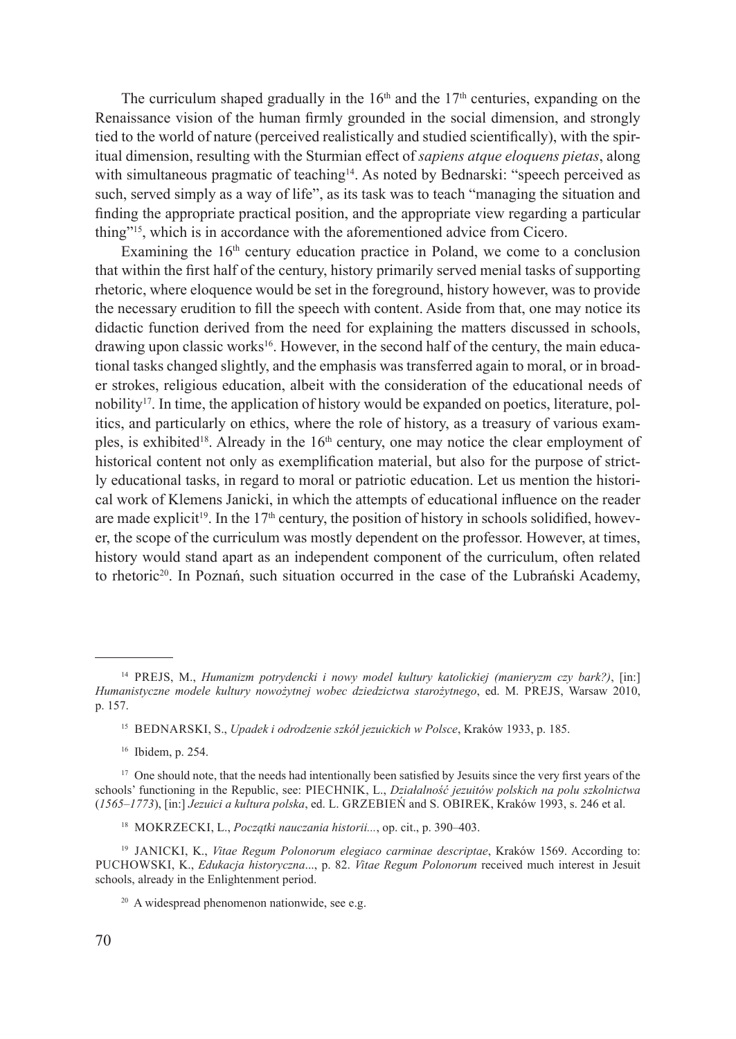The curriculum shaped gradually in the  $16<sup>th</sup>$  and the  $17<sup>th</sup>$  centuries, expanding on the Renaissance vision of the human firmly grounded in the social dimension, and strongly tied to the world of nature (perceived realistically and studied scientifically), with the spiritual dimension, resulting with the Sturmian effect of *sapiens atque eloquens pietas*, along with simultaneous pragmatic of teaching<sup>14</sup>. As noted by Bednarski: "speech perceived as such, served simply as a way of life", as its task was to teach "managing the situation and finding the appropriate practical position, and the appropriate view regarding a particular thing"15, which is in accordance with the aforementioned advice from Cicero.

Examining the  $16<sup>th</sup>$  century education practice in Poland, we come to a conclusion that within the first half of the century, history primarily served menial tasks of supporting rhetoric, where eloquence would be set in the foreground, history however, was to provide the necessary erudition to fill the speech with content. Aside from that, one may notice its didactic function derived from the need for explaining the matters discussed in schools, drawing upon classic works<sup>16</sup>. However, in the second half of the century, the main educational tasks changed slightly, and the emphasis was transferred again to moral, or in broader strokes, religious education, albeit with the consideration of the educational needs of nobility<sup>17</sup>. In time, the application of history would be expanded on poetics, literature, politics, and particularly on ethics, where the role of history, as a treasury of various examples, is exhibited<sup>18</sup>. Already in the  $16<sup>th</sup>$  century, one may notice the clear employment of historical content not only as exemplification material, but also for the purpose of strictly educational tasks, in regard to moral or patriotic education. Let us mention the historical work of Klemens Janicki, in which the attempts of educational influence on the reader are made explicit<sup>19</sup>. In the 17<sup>th</sup> century, the position of history in schools solidified, however, the scope of the curriculum was mostly dependent on the professor. However, at times, history would stand apart as an independent component of the curriculum, often related to rhetoric<sup>20</sup>. In Poznań, such situation occurred in the case of the Lubrański Academy,

<sup>&</sup>lt;sup>14</sup> PREJS, M., *Humanizm potrydencki i nowy model kultury katolickiej (manieryzm czy bark?)*, [in:] *Humanistyczne modele kultury nowożytnej wobec dziedzictwa starożytnego*, ed. M. Prejs, Warsaw 2010, p. 157.

<sup>&</sup>lt;sup>15</sup> BEDNARSKI, S., *Upadek i odrodzenie szkół jezuickich w Polsce*, Kraków 1933, p. 185.

<sup>16</sup> Ibidem, p. 254.

<sup>&</sup>lt;sup>17</sup> One should note, that the needs had intentionally been satisfied by Jesuits since the very first years of the schools' functioning in the Republic, see: PIECHNIK, L., *Działalność jezuitów polskich na polu szkolnictwa* (*1565–1773*), [in:] *Jezuici a kultura polska*, ed. L. Grzebień and S. Obirek, Kraków 1993, s. 246 et al.

<sup>18</sup> Mokrzecki, L., *Początki nauczania historii...*, op. cit., p. 390–403.

<sup>19</sup> Janicki, K., *Vitae Regum Polonorum elegiaco carminae descriptae*, Kraków 1569. According to: Puchowski, K., *Edukacja historyczna*..., p. 82. *Vitae Regum Polonorum* received much interest in Jesuit schools, already in the Enlightenment period.

<sup>&</sup>lt;sup>20</sup> A widespread phenomenon nationwide, see e.g.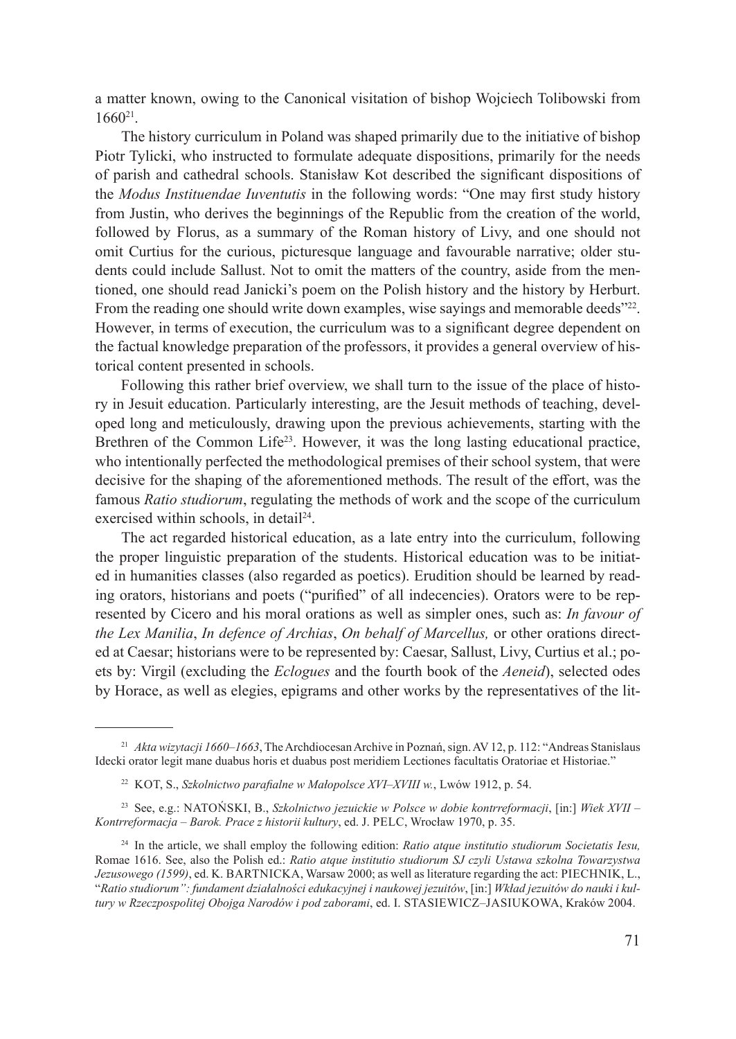a matter known, owing to the Canonical visitation of bishop Wojciech Tolibowski from 1660<sup>21</sup>.

The history curriculum in Poland was shaped primarily due to the initiative of bishop Piotr Tylicki, who instructed to formulate adequate dispositions, primarily for the needs of parish and cathedral schools. Stanisław Kot described the significant dispositions of the *Modus Instituendae Iuventutis* in the following words: "One may first study history from Justin, who derives the beginnings of the Republic from the creation of the world, followed by Florus, as a summary of the Roman history of Livy, and one should not omit Curtius for the curious, picturesque language and favourable narrative; older students could include Sallust. Not to omit the matters of the country, aside from the mentioned, one should read Janicki's poem on the Polish history and the history by Herburt. From the reading one should write down examples, wise sayings and memorable deeds"<sup>22</sup>. However, in terms of execution, the curriculum was to a significant degree dependent on the factual knowledge preparation of the professors, it provides a general overview of historical content presented in schools.

Following this rather brief overview, we shall turn to the issue of the place of history in Jesuit education. Particularly interesting, are the Jesuit methods of teaching, developed long and meticulously, drawing upon the previous achievements, starting with the Brethren of the Common Life<sup>23</sup>. However, it was the long lasting educational practice, who intentionally perfected the methodological premises of their school system, that were decisive for the shaping of the aforementioned methods. The result of the effort, was the famous *Ratio studiorum*, regulating the methods of work and the scope of the curriculum exercised within schools, in detail<sup>24</sup>.

The act regarded historical education, as a late entry into the curriculum, following the proper linguistic preparation of the students. Historical education was to be initiated in humanities classes (also regarded as poetics). Erudition should be learned by reading orators, historians and poets ("purified" of all indecencies). Orators were to be represented by Cicero and his moral orations as well as simpler ones, such as: *In favour of the Lex Manilia*, *In defence of Archias*, *On behalf of Marcellus,* or other orations directed at Caesar; historians were to be represented by: Caesar, Sallust, Livy, Curtius et al.; poets by: Virgil (excluding the *Eclogues* and the fourth book of the *Aeneid*), selected odes by Horace, as well as elegies, epigrams and other works by the representatives of the lit-

<sup>21</sup> *Akta wizytacji 1660–1663*, The Archdiocesan Archive in Poznań, sign. AV 12, p. 112: "Andreas Stanislaus Idecki orator legit mane duabus horis et duabus post meridiem Lectiones facultatis Oratoriae et Historiae."

<sup>&</sup>lt;sup>22</sup> KOT, S., *Szkolnictwo parafialne w Małopolsce XVI–XVIII w.*, Lwów 1912, p. 54.

<sup>23</sup> See, e.g.: Natoński, B., *Szkolnictwo jezuickie w Polsce w dobie kontrreformacji*, [in:] *Wiek XVII – Kontrreformacja – Barok. Prace z historii kultury*, ed. J. Pelc, Wrocław 1970, p. 35.

<sup>24</sup> In the article, we shall employ the following edition: *Ratio atque institutio studiorum Societatis Iesu,*  Romae 1616. See, also the Polish ed.: *Ratio atque institutio studiorum SJ czyli Ustawa szkolna Towarzystwa Jezusowego (1599)*, ed. K. BARTNICKA, Warsaw 2000; as well as literature regarding the act: PIECHNIK, L., "*Ratio studiorum": fundament działalności edukacyjnej i naukowej jezuitów*, [in:] *Wkład jezuitów do nauki i kultury w Rzeczpospolitej Obojga Narodów i pod zaborami*, ed. I. Stasiewicz–Jasiukowa, Kraków 2004.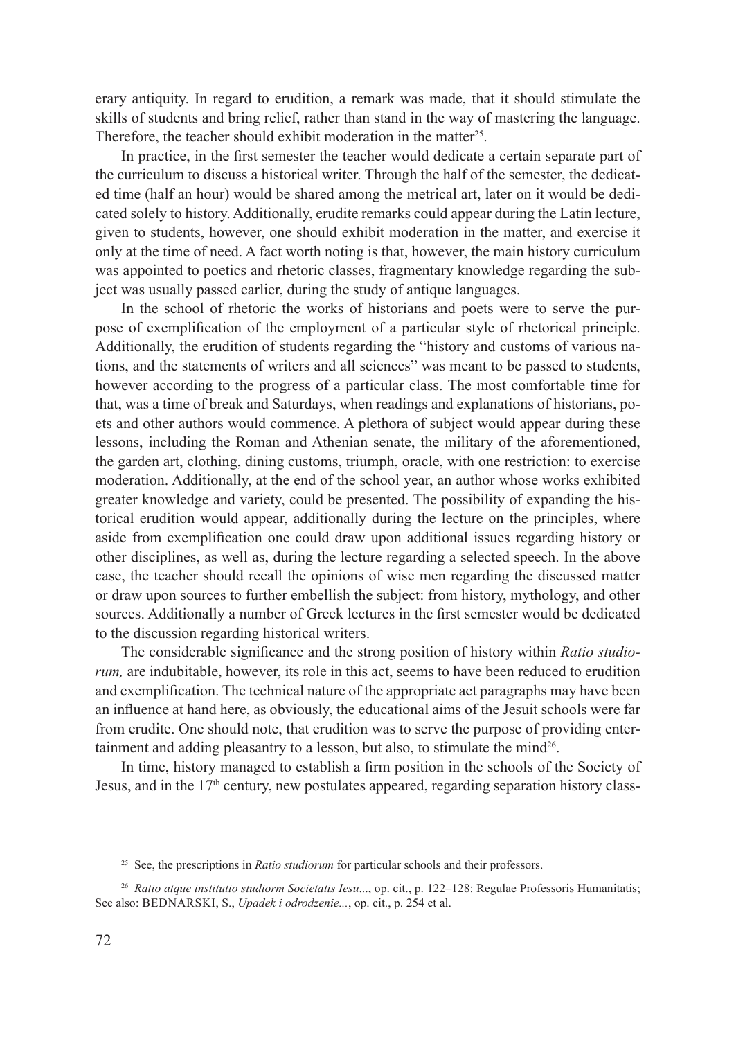erary antiquity. In regard to erudition, a remark was made, that it should stimulate the skills of students and bring relief, rather than stand in the way of mastering the language. Therefore, the teacher should exhibit moderation in the matter<sup>25</sup>.

In practice, in the first semester the teacher would dedicate a certain separate part of the curriculum to discuss a historical writer. Through the half of the semester, the dedicated time (half an hour) would be shared among the metrical art, later on it would be dedicated solely to history. Additionally, erudite remarks could appear during the Latin lecture, given to students, however, one should exhibit moderation in the matter, and exercise it only at the time of need. A fact worth noting is that, however, the main history curriculum was appointed to poetics and rhetoric classes, fragmentary knowledge regarding the subject was usually passed earlier, during the study of antique languages.

In the school of rhetoric the works of historians and poets were to serve the purpose of exemplification of the employment of a particular style of rhetorical principle. Additionally, the erudition of students regarding the "history and customs of various nations, and the statements of writers and all sciences" was meant to be passed to students, however according to the progress of a particular class. The most comfortable time for that, was a time of break and Saturdays, when readings and explanations of historians, poets and other authors would commence. A plethora of subject would appear during these lessons, including the Roman and Athenian senate, the military of the aforementioned, the garden art, clothing, dining customs, triumph, oracle, with one restriction: to exercise moderation. Additionally, at the end of the school year, an author whose works exhibited greater knowledge and variety, could be presented. The possibility of expanding the historical erudition would appear, additionally during the lecture on the principles, where aside from exemplification one could draw upon additional issues regarding history or other disciplines, as well as, during the lecture regarding a selected speech. In the above case, the teacher should recall the opinions of wise men regarding the discussed matter or draw upon sources to further embellish the subject: from history, mythology, and other sources. Additionally a number of Greek lectures in the first semester would be dedicated to the discussion regarding historical writers.

The considerable significance and the strong position of history within *Ratio studiorum,* are indubitable, however, its role in this act, seems to have been reduced to erudition and exemplification. The technical nature of the appropriate act paragraphs may have been an influence at hand here, as obviously, the educational aims of the Jesuit schools were far from erudite. One should note, that erudition was to serve the purpose of providing entertainment and adding pleasantry to a lesson, but also, to stimulate the mind $26$ .

In time, history managed to establish a firm position in the schools of the Society of Jesus, and in the  $17<sup>th</sup>$  century, new postulates appeared, regarding separation history class-

<sup>&</sup>lt;sup>25</sup> See, the prescriptions in *Ratio studiorum* for particular schools and their professors.

<sup>26</sup> *Ratio atque institutio studiorm Societatis Iesu*..., op. cit., p. 122–128: Regulae Professoris Humanitatis; See also: BEDNARSKI, S., *Upadek i odrodzenie...*, op. cit., p. 254 et al.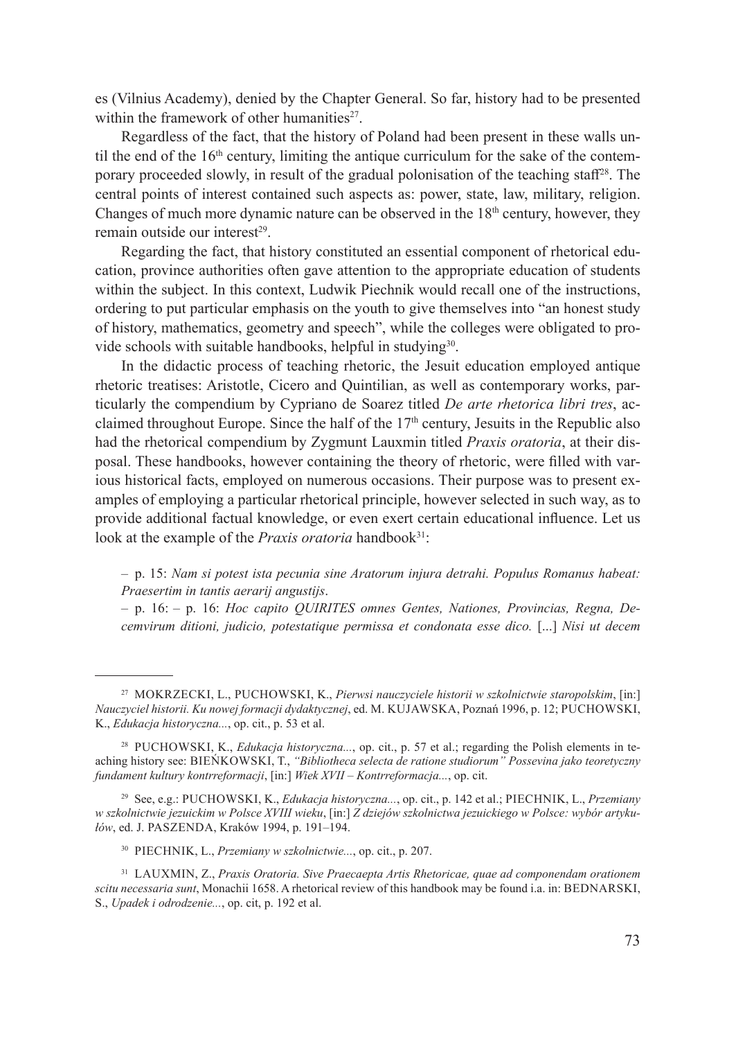es (Vilnius Academy), denied by the Chapter General. So far, history had to be presented within the framework of other humanities $27$ .

Regardless of the fact, that the history of Poland had been present in these walls until the end of the  $16<sup>th</sup>$  century, limiting the antique curriculum for the sake of the contemporary proceeded slowly, in result of the gradual polonisation of the teaching staff<sup>28</sup>. The central points of interest contained such aspects as: power, state, law, military, religion. Changes of much more dynamic nature can be observed in the  $18<sup>th</sup>$  century, however, they remain outside our interest $29$ .

Regarding the fact, that history constituted an essential component of rhetorical education, province authorities often gave attention to the appropriate education of students within the subject. In this context, Ludwik Piechnik would recall one of the instructions, ordering to put particular emphasis on the youth to give themselves into "an honest study of history, mathematics, geometry and speech", while the colleges were obligated to provide schools with suitable handbooks, helpful in studying<sup>30</sup>.

In the didactic process of teaching rhetoric, the Jesuit education employed antique rhetoric treatises: Aristotle, Cicero and Quintilian, as well as contemporary works, particularly the compendium by Cypriano de Soarez titled *De arte rhetorica libri tres*, acclaimed throughout Europe. Since the half of the  $17<sup>th</sup>$  century, Jesuits in the Republic also had the rhetorical compendium by Zygmunt Lauxmin titled *Praxis oratoria*, at their disposal. These handbooks, however containing the theory of rhetoric, were filled with various historical facts, employed on numerous occasions. Their purpose was to present examples of employing a particular rhetorical principle, however selected in such way, as to provide additional factual knowledge, or even exert certain educational influence. Let us look at the example of the *Praxis oratoria* handbook<sup>31</sup>:

– p. 16: – p. 16: *Hoc capito QUIRITES omnes Gentes, Nationes, Provincias, Regna, Decemvirum ditioni, judicio, potestatique permissa et condonata esse dico.* [...] *Nisi ut decem* 

<sup>–</sup> p. 15: *Nam si potest ista pecunia sine Aratorum injura detrahi. Populus Romanus habeat: Praesertim in tantis aerarij angustijs*.

<sup>27</sup> Mokrzecki, L., Puchowski, K., *Pierwsi nauczyciele historii w szkolnictwie staropolskim*, [in:] *Nauczyciel historii. Ku nowej formacji dydaktycznej*, ed. M. Kujawska, Poznań 1996, p. 12; Puchowski, K., *Edukacja historyczna...*, op. cit., p. 53 et al.

<sup>28</sup> Puchowski, K., *Edukacja historyczna...*, op. cit., p. 57 et al.; regarding the Polish elements in teaching history see: Bieńkowski, T., *"Bibliotheca selecta de ratione studiorum" Possevina jako teoretyczny fundament kultury kontrreformacji*, [in:] *Wiek XVII – Kontrreformacja...*, op. cit.

<sup>29</sup> See, e.g.: Puchowski, K., *Edukacja historyczna...*, op. cit., p. 142 et al.; Piechnik, L., *Przemiany w szkolnictwie jezuickim w Polsce XVIII wieku*, [in:] *Z dziejów szkolnictwa jezuickiego w Polsce: wybór artykułów*, ed. J. Paszenda, Kraków 1994, p. 191–194.

<sup>30</sup> Piechnik, L., *Przemiany w szkolnictwie...*, op. cit., p. 207.

<sup>&</sup>lt;sup>31</sup> LAUXMIN, Z., *Praxis Oratoria. Sive Praecaepta Artis Rhetoricae, quae ad componendam orationem scitu necessaria sunt*, Monachii 1658. A rhetorical review of this handbook may be found i.a. in: BEDNARSKI, S., *Upadek i odrodzenie...*, op. cit, p. 192 et al.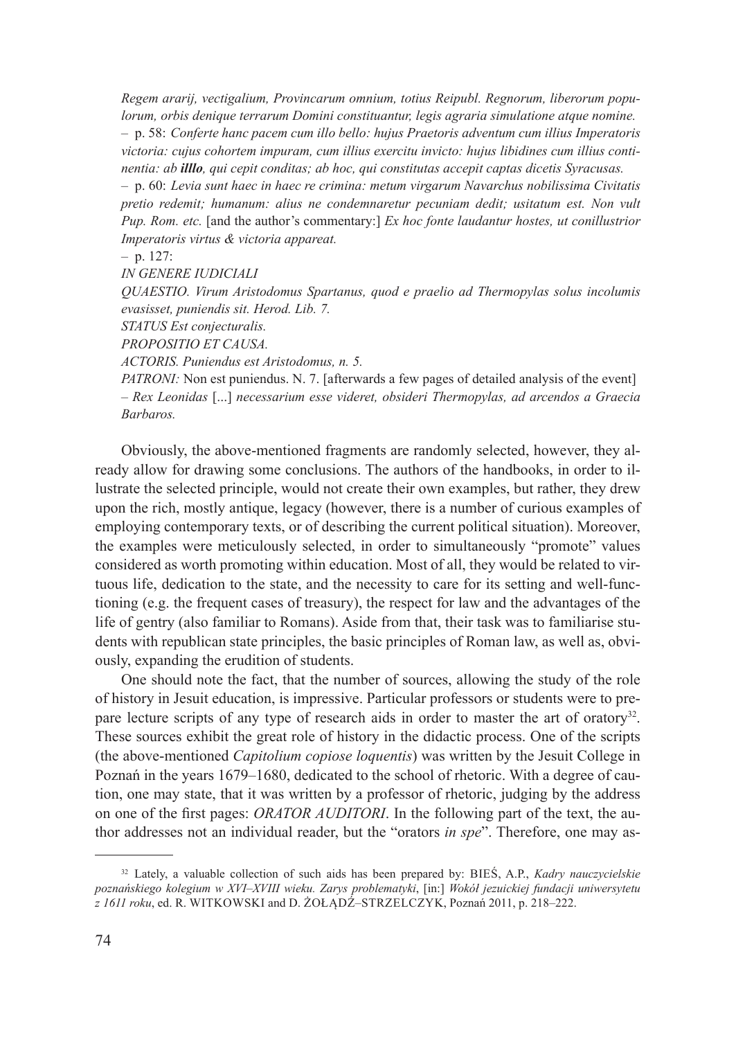*Regem ararij, vectigalium, Provincarum omnium, totius Reipubl. Regnorum, liberorum populorum, orbis denique terrarum Domini constituantur, legis agraria simulatione atque nomine.* – p. 58: *Conferte hanc pacem cum illo bello: hujus Praetoris adventum cum illius Imperatoris victoria: cujus cohortem impuram, cum illius exercitu invicto: hujus libidines cum illius continentia: ab illlo, qui cepit conditas; ab hoc, qui constitutas accepit captas dicetis Syracusas.* – p. 60: *Levia sunt haec in haec re crimina: metum virgarum Navarchus nobilissima Civitatis pretio redemit; humanum: alius ne condemnaretur pecuniam dedit; usitatum est. Non vult Pup. Rom. etc.* [and the author's commentary:] *Ex hoc fonte laudantur hostes, ut conillustrior Imperatoris virtus & victoria appareat.*

– p. 127:

*IN GENERE IUDICIALI*

*QUAESTIO. Virum Aristodomus Spartanus, quod e praelio ad Thermopylas solus incolumis evasisset, puniendis sit. Herod. Lib. 7.*

*STATUS Est conjecturalis.*

*PROPOSITIO ET CAUSA.*

*ACTORIS. Puniendus est Aristodomus, n. 5.*

*PATRONI:* Non est puniendus. N. 7. [afterwards a few pages of detailed analysis of the event] – *Rex Leonidas* [...] *necessarium esse videret, obsideri Thermopylas, ad arcendos a Graecia Barbaros.*

Obviously, the above-mentioned fragments are randomly selected, however, they already allow for drawing some conclusions. The authors of the handbooks, in order to illustrate the selected principle, would not create their own examples, but rather, they drew upon the rich, mostly antique, legacy (however, there is a number of curious examples of employing contemporary texts, or of describing the current political situation). Moreover, the examples were meticulously selected, in order to simultaneously "promote" values considered as worth promoting within education. Most of all, they would be related to virtuous life, dedication to the state, and the necessity to care for its setting and well-functioning (e.g. the frequent cases of treasury), the respect for law and the advantages of the life of gentry (also familiar to Romans). Aside from that, their task was to familiarise students with republican state principles, the basic principles of Roman law, as well as, obviously, expanding the erudition of students.

One should note the fact, that the number of sources, allowing the study of the role of history in Jesuit education, is impressive. Particular professors or students were to prepare lecture scripts of any type of research aids in order to master the art of oratory<sup>32</sup>. These sources exhibit the great role of history in the didactic process. One of the scripts (the above-mentioned *Capitolium copiose loquentis*) was written by the Jesuit College in Poznań in the years 1679–1680, dedicated to the school of rhetoric. With a degree of caution, one may state, that it was written by a professor of rhetoric, judging by the address on one of the first pages: *ORATOR AUDITORI*. In the following part of the text, the author addresses not an individual reader, but the "orators *in spe*". Therefore, one may as-

<sup>32</sup> Lately, a valuable collection of such aids has been prepared by: Bieś, A.P., *Kadry nauczycielskie poznańskiego kolegium w XVI–XVIII wieku. Zarys problematyki*, [in:] *Wokół jezuickiej fundacji uniwersytetu z 1611 roku*, ed. R. Witkowski and D. Żołądź–Strzelczyk, Poznań 2011, p. 218–222.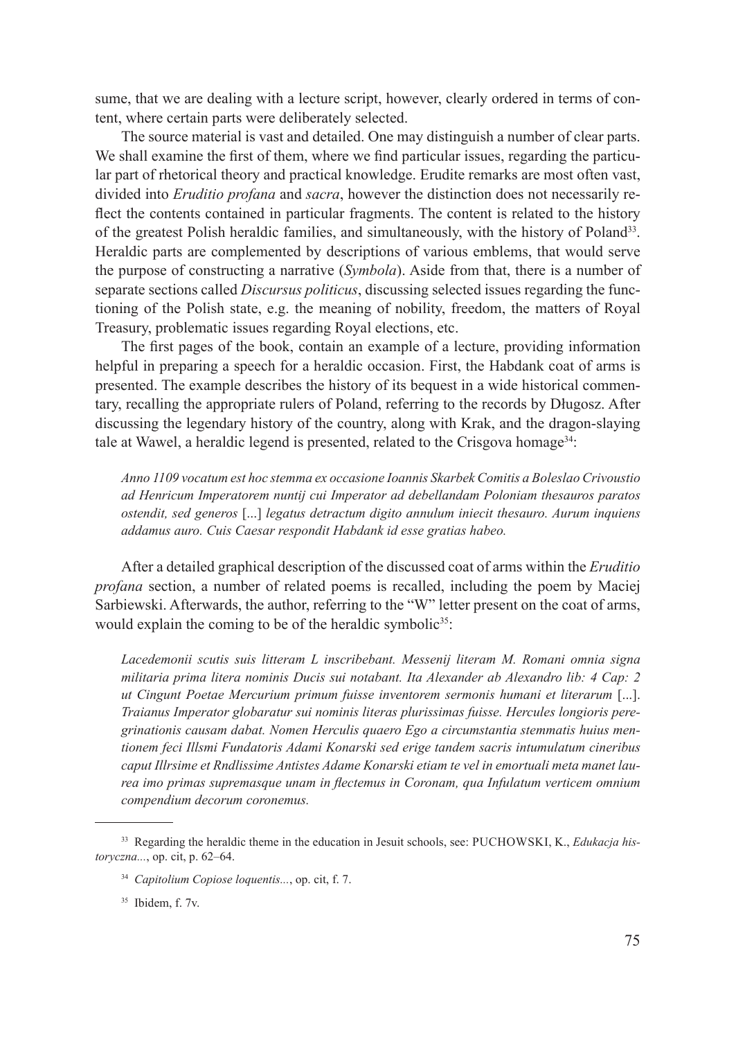sume, that we are dealing with a lecture script, however, clearly ordered in terms of content, where certain parts were deliberately selected.

The source material is vast and detailed. One may distinguish a number of clear parts. We shall examine the first of them, where we find particular issues, regarding the particular part of rhetorical theory and practical knowledge. Erudite remarks are most often vast, divided into *Eruditio profana* and *sacra*, however the distinction does not necessarily reflect the contents contained in particular fragments. The content is related to the history of the greatest Polish heraldic families, and simultaneously, with the history of Poland33. Heraldic parts are complemented by descriptions of various emblems, that would serve the purpose of constructing a narrative (*Symbola*). Aside from that, there is a number of separate sections called *Discursus politicus*, discussing selected issues regarding the functioning of the Polish state, e.g. the meaning of nobility, freedom, the matters of Royal Treasury, problematic issues regarding Royal elections, etc.

The first pages of the book, contain an example of a lecture, providing information helpful in preparing a speech for a heraldic occasion. First, the Habdank coat of arms is presented. The example describes the history of its bequest in a wide historical commentary, recalling the appropriate rulers of Poland, referring to the records by Długosz. After discussing the legendary history of the country, along with Krak, and the dragon-slaying tale at Wawel, a heraldic legend is presented, related to the Crisgova homage<sup>34</sup>:

*Anno 1109 vocatum est hoc stemma ex occasione Ioannis Skarbek Comitis a Boleslao Crivoustio ad Henricum Imperatorem nuntij cui Imperator ad debellandam Poloniam thesauros paratos ostendit, sed generos* [...] *legatus detractum digito annulum iniecit thesauro. Aurum inquiens addamus auro. Cuis Caesar respondit Habdank id esse gratias habeo.*

After a detailed graphical description of the discussed coat of arms within the *Eruditio profana* section, a number of related poems is recalled, including the poem by Maciej Sarbiewski. Afterwards, the author, referring to the "W" letter present on the coat of arms, would explain the coming to be of the heraldic symbolic<sup>35</sup>:

*Lacedemonii scutis suis litteram L inscribebant. Messenij literam M. Romani omnia signa militaria prima litera nominis Ducis sui notabant. Ita Alexander ab Alexandro lib: 4 Cap: 2 ut Cingunt Poetae Mercurium primum fuisse inventorem sermonis humani et literarum* [...]. *Traianus Imperator globaratur sui nominis literas plurissimas fuisse. Hercules longioris peregrinationis causam dabat. Nomen Herculis quaero Ego a circumstantia stemmatis huius mentionem feci Illsmi Fundatoris Adami Konarski sed erige tandem sacris intumulatum cineribus caput Illrsime et Rndlissime Antistes Adame Konarski etiam te vel in emortuali meta manet laurea imo primas supremasque unam in flectemus in Coronam, qua Infulatum verticem omnium compendium decorum coronemus.*

<sup>&</sup>lt;sup>33</sup> Regarding the heraldic theme in the education in Jesuit schools, see: PUCHOWSKI, K., *Edukacja historyczna...*, op. cit, p. 62–64.

<sup>34</sup> *Capitolium Copiose loquentis...*, op. cit, f. 7.

<sup>&</sup>lt;sup>35</sup> Ibidem, f. 7v.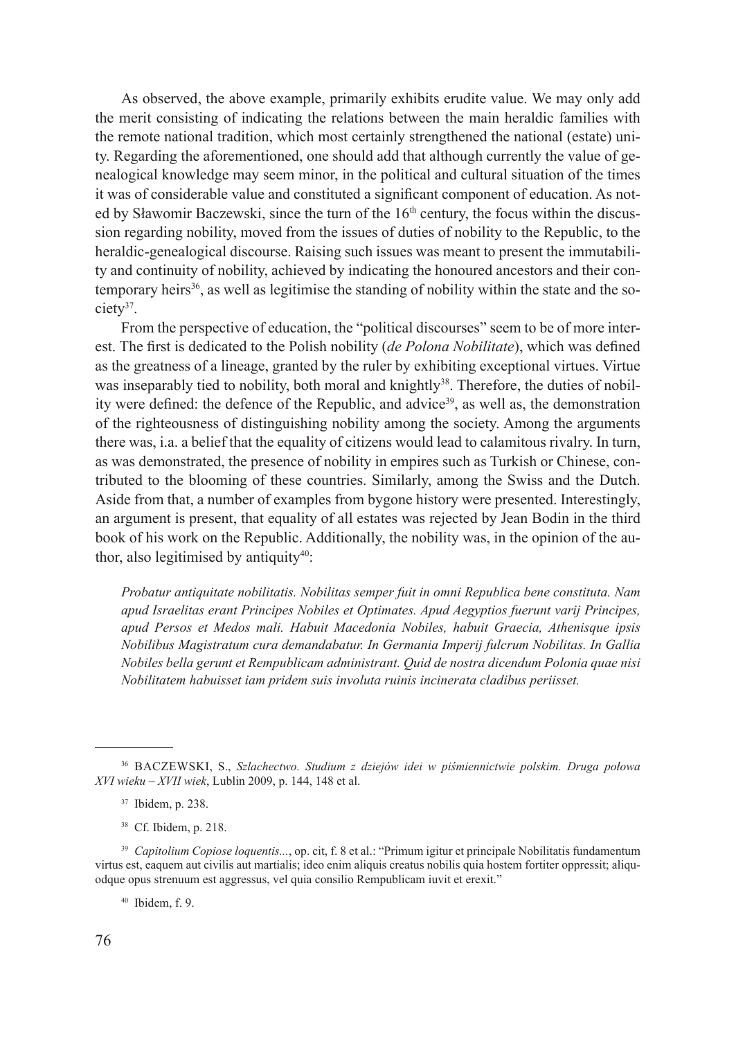As observed, the above example, primarily exhibits erudite value. We may only add the merit consisting of indicating the relations between the main heraldic families with the remote national tradition, which most certainly strengthened the national (estate) unity. Regarding the aforementioned, one should add that although currently the value of genealogical knowledge may seem minor, in the political and cultural situation of the times it was of considerable value and constituted a significant component of education. As noted by Sławomir Baczewski, since the turn of the  $16<sup>th</sup>$  century, the focus within the discussion regarding nobility, moved from the issues of duties of nobility to the Republic, to the heraldic-genealogical discourse. Raising such issues was meant to present the immutability and continuity of nobility, achieved by indicating the honoured ancestors and their contemporary heirs<sup>36</sup>, as well as legitimise the standing of nobility within the state and the society37.

From the perspective of education, the "political discourses" seem to be of more interest. The first is dedicated to the Polish nobility (*de Polona Nobilitate*), which was defined as the greatness of a lineage, granted by the ruler by exhibiting exceptional virtues. Virtue was inseparably tied to nobility, both moral and knightly<sup>38</sup>. Therefore, the duties of nobility were defined: the defence of the Republic, and advice<sup>39</sup>, as well as, the demonstration of the righteousness of distinguishing nobility among the society. Among the arguments there was, i.a. a belief that the equality of citizens would lead to calamitous rivalry. In turn, as was demonstrated, the presence of nobility in empires such as Turkish or Chinese, contributed to the blooming of these countries. Similarly, among the Swiss and the Dutch. Aside from that, a number of examples from bygone history were presented. Interestingly, an argument is present, that equality of all estates was rejected by Jean Bodin in the third book of his work on the Republic. Additionally, the nobility was, in the opinion of the author, also legitimised by antiquity<sup>40</sup>:

*Probatur antiquitate nobilitatis. Nobilitas semper fuit in omni Republica bene constituta. Nam apud Israelitas erant Principes Nobiles et Optimates. Apud Aegyptios fuerunt varij Principes, apud Persos et Medos mali. Habuit Macedonia Nobiles, habuit Graecia, Athenisque ipsis Nobilibus Magistratum cura demandabatur. In Germania Imperij fulcrum Nobilitas. In Gallia Nobiles bella gerunt et Rempublicam administrant. Quid de nostra dicendum Polonia quae nisi Nobilitatem habuisset iam pridem suis involuta ruinis incinerata cladibus periisset.*

<sup>39</sup> Capitolium Copiose loquentis..., op. cit, f. 8 et al.: "Primum igitur et principale Nobilitatis fundamentum virtus est, eaquem aut civilis aut martialis; ideo enim aliquis creatus nobilis quia hostem fortiter oppressit; aliquodque opus strenuum est aggressus, vel quia consilio Rempublicam iuvit et erexit."

<sup>40</sup> Ibidem, f. 9.

<sup>36</sup> Baczewski, S., *Szlachectwo. Studium z dziejów idei w piśmiennictwie polskim. Druga połowa XVI wieku – XVII wiek*, Lublin 2009, p. 144, 148 et al.

<sup>37</sup> Ibidem, p. 238.

<sup>38</sup> Cf. Ibidem, p. 218.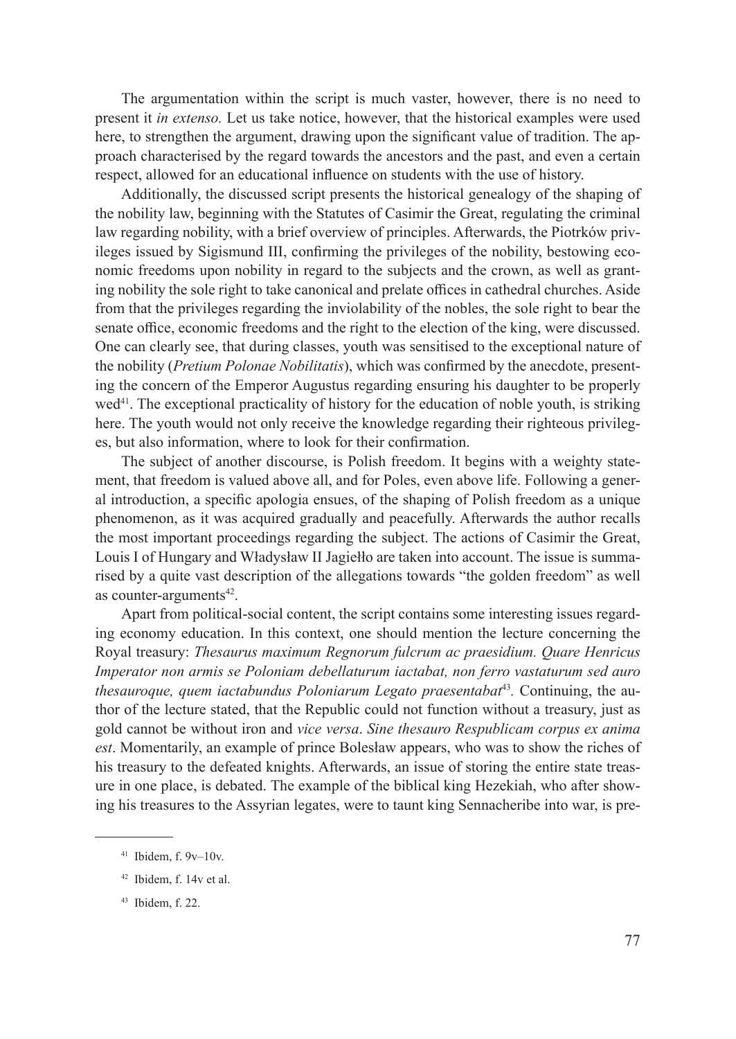The argumentation within the script is much vaster, however, there is no need to present it *in extenso.* Let us take notice, however, that the historical examples were used here, to strengthen the argument, drawing upon the significant value of tradition. The approach characterised by the regard towards the ancestors and the past, and even a certain respect, allowed for an educational influence on students with the use of history.

Additionally, the discussed script presents the historical genealogy of the shaping of the nobility law, beginning with the Statutes of Casimir the Great, regulating the criminal law regarding nobility, with a brief overview of principles. Afterwards, the Piotrków privileges issued by Sigismund III, confirming the privileges of the nobility, bestowing economic freedoms upon nobility in regard to the subjects and the crown, as well as granting nobility the sole right to take canonical and prelate offices in cathedral churches. Aside from that the privileges regarding the inviolability of the nobles, the sole right to bear the senate office, economic freedoms and the right to the election of the king, were discussed. One can clearly see, that during classes, youth was sensitised to the exceptional nature of the nobility (*Pretium Polonae Nobilitatis*), which was confirmed by the anecdote, presenting the concern of the Emperor Augustus regarding ensuring his daughter to be properly wed<sup>41</sup>. The exceptional practicality of history for the education of noble youth, is striking here. The youth would not only receive the knowledge regarding their righteous privileges, but also information, where to look for their confirmation.

The subject of another discourse, is Polish freedom. It begins with a weighty statement, that freedom is valued above all, and for Poles, even above life. Following a general introduction, a specific apologia ensues, of the shaping of Polish freedom as a unique phenomenon, as it was acquired gradually and peacefully. Afterwards the author recalls the most important proceedings regarding the subject. The actions of Casimir the Great, Louis I of Hungary and Władysław II Jagiełło are taken into account. The issue is summarised by a quite vast description of the allegations towards "the golden freedom" as well as counter-arguments $42$ .

Apart from political-social content, the script contains some interesting issues regarding economy education. In this context, one should mention the lecture concerning the Royal treasury: *Thesaurus maximum Regnorum fulcrum ac praesidium. Quare Henricus Imperator non armis se Poloniam debellaturum iactabat, non ferro vastaturum sed auro thesauroque, quem iactabundus Poloniarum Legato praesentabat<sup>43</sup>. Continuing, the au*thor of the lecture stated, that the Republic could not function without a treasury, just as gold cannot be without iron and *vice versa*. *Sine thesauro Respublicam corpus ex anima est*. Momentarily, an example of prince Bolesław appears, who was to show the riches of his treasury to the defeated knights. Afterwards, an issue of storing the entire state treasure in one place, is debated. The example of the biblical king Hezekiah, who after showing his treasures to the Assyrian legates, were to taunt king Sennacheribe into war, is pre-

 $41$  Ibidem, f.  $9v-10v$ .

<sup>42</sup> Ibidem, f. 14v et al.

<sup>43</sup> Ibidem, f. 22.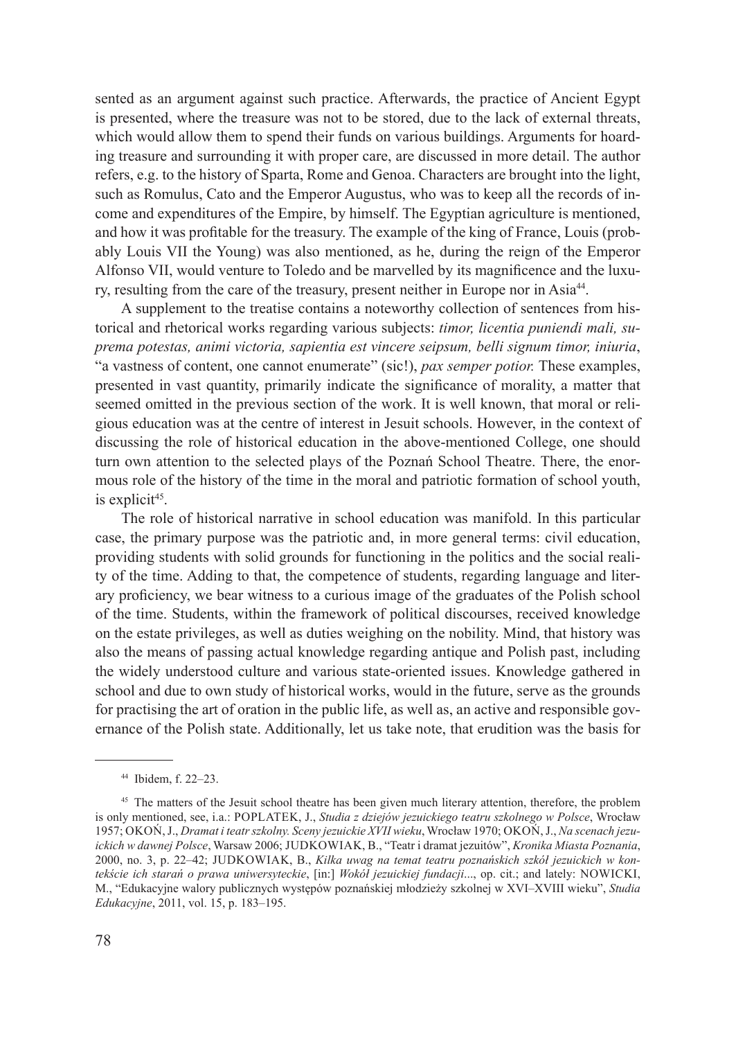sented as an argument against such practice. Afterwards, the practice of Ancient Egypt is presented, where the treasure was not to be stored, due to the lack of external threats, which would allow them to spend their funds on various buildings. Arguments for hoarding treasure and surrounding it with proper care, are discussed in more detail. The author refers, e.g. to the history of Sparta, Rome and Genoa. Characters are brought into the light, such as Romulus, Cato and the Emperor Augustus, who was to keep all the records of income and expenditures of the Empire, by himself. The Egyptian agriculture is mentioned, and how it was profitable for the treasury. The example of the king of France, Louis (probably Louis VII the Young) was also mentioned, as he, during the reign of the Emperor Alfonso VII, would venture to Toledo and be marvelled by its magnificence and the luxury, resulting from the care of the treasury, present neither in Europe nor in Asia<sup>44</sup>.

A supplement to the treatise contains a noteworthy collection of sentences from historical and rhetorical works regarding various subjects: *timor, licentia puniendi mali, suprema potestas, animi victoria, sapientia est vincere seipsum, belli signum timor, iniuria*, "a vastness of content, one cannot enumerate" (sic!), *pax semper potior.* These examples, presented in vast quantity, primarily indicate the significance of morality, a matter that seemed omitted in the previous section of the work. It is well known, that moral or religious education was at the centre of interest in Jesuit schools. However, in the context of discussing the role of historical education in the above-mentioned College, one should turn own attention to the selected plays of the Poznań School Theatre. There, the enormous role of the history of the time in the moral and patriotic formation of school youth, is explicit<sup>45</sup>.

The role of historical narrative in school education was manifold. In this particular case, the primary purpose was the patriotic and, in more general terms: civil education, providing students with solid grounds for functioning in the politics and the social reality of the time. Adding to that, the competence of students, regarding language and literary proficiency, we bear witness to a curious image of the graduates of the Polish school of the time. Students, within the framework of political discourses, received knowledge on the estate privileges, as well as duties weighing on the nobility. Mind, that history was also the means of passing actual knowledge regarding antique and Polish past, including the widely understood culture and various state-oriented issues. Knowledge gathered in school and due to own study of historical works, would in the future, serve as the grounds for practising the art of oration in the public life, as well as, an active and responsible governance of the Polish state. Additionally, let us take note, that erudition was the basis for

<sup>44</sup> Ibidem, f. 22–23.

<sup>&</sup>lt;sup>45</sup> The matters of the Jesuit school theatre has been given much literary attention, therefore, the problem is only mentioned, see, i.a.: POPLATEK, J., *Studia z dziejów jezuickiego teatru szkolnego w Polsce*, Wrocław 1957; Okoń, J., *Dramat i teatr szkolny. Sceny jezuickie XVII wieku*, Wrocław 1970; Okoń, J., *Na scenach jezuickich w dawnej Polsce*, Warsaw 2006; Judkowiak, B., "Teatr i dramat jezuitów", *Kronika Miasta Poznania*, 2000, no. 3, p. 22–42; Judkowiak, B., *Kilka uwag na temat teatru poznańskich szkół jezuickich w kontekście ich starań o prawa uniwersyteckie*, [in:] *Wokół jezuickiej fundacji*..., op. cit.; and lately: Nowicki, M., "Edukacyjne walory publicznych występów poznańskiej młodzieży szkolnej w XVI–XVIII wieku", *Studia Edukacyjne*, 2011, vol. 15, p. 183–195.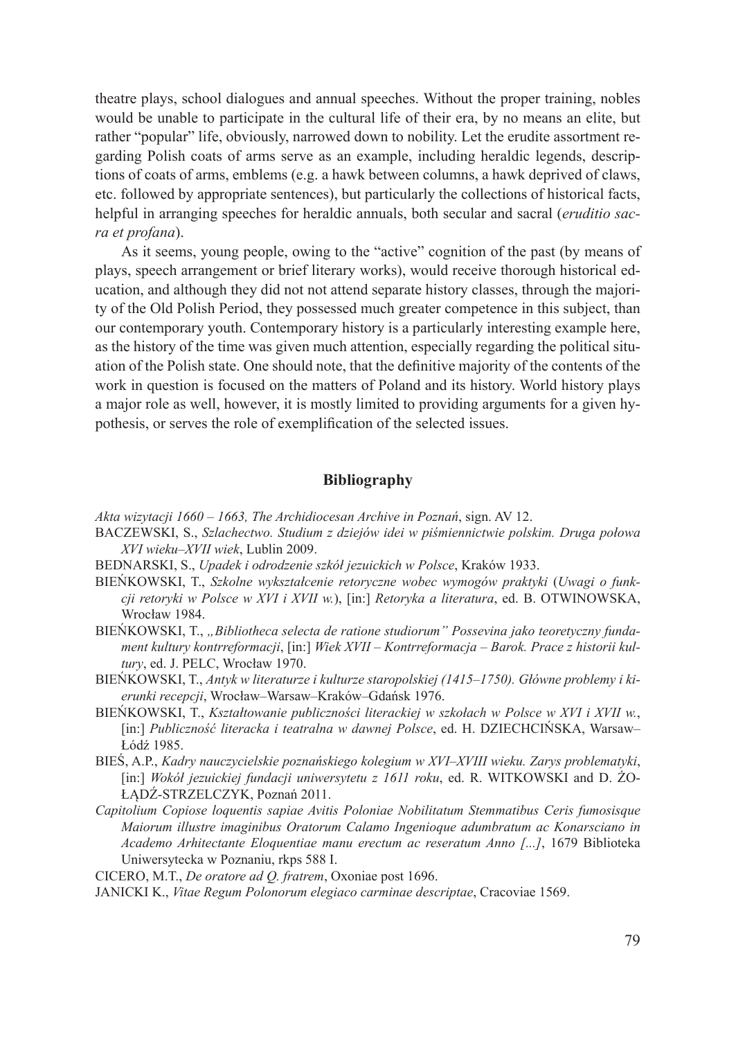theatre plays, school dialogues and annual speeches. Without the proper training, nobles would be unable to participate in the cultural life of their era, by no means an elite, but rather "popular" life, obviously, narrowed down to nobility. Let the erudite assortment regarding Polish coats of arms serve as an example, including heraldic legends, descriptions of coats of arms, emblems (e.g. a hawk between columns, a hawk deprived of claws, etc. followed by appropriate sentences), but particularly the collections of historical facts, helpful in arranging speeches for heraldic annuals, both secular and sacral (*eruditio sacra et profana*).

As it seems, young people, owing to the "active" cognition of the past (by means of plays, speech arrangement or brief literary works), would receive thorough historical education, and although they did not not attend separate history classes, through the majority of the Old Polish Period, they possessed much greater competence in this subject, than our contemporary youth. Contemporary history is a particularly interesting example here, as the history of the time was given much attention, especially regarding the political situation of the Polish state. One should note, that the definitive majority of the contents of the work in question is focused on the matters of Poland and its history. World history plays a major role as well, however, it is mostly limited to providing arguments for a given hypothesis, or serves the role of exemplification of the selected issues.

## **Bibliography**

*Akta wizytacji 1660 – 1663, The Archidiocesan Archive in Poznań*, sign. AV 12.

- BACZEWSKI, S., *Szlachectwo. Studium z dziejów idei w piśmiennictwie polskim. Druga połowa XVI wieku–XVII wiek*, Lublin 2009.
- BEDNARSKI, S., *Upadek i odrodzenie szkół jezuickich w Polsce*, Kraków 1933.
- BIEŃKOWSKI, T., *Szkolne wykształcenie retoryczne wobec wymogów praktyki* (*Uwagi o funkcji retoryki w Polsce w XVI i XVII w.*), [in:] *Retoryka a literatura*, ed. B. OTWINOWSKA, Wrocław 1984.
- BIEŃKOWSKI, T., *"Bibliotheca selecta de ratione studiorum" Possevina jako teoretyczny fundament kultury kontrreformacji*, [in:] *Wiek XVII – Kontrreformacja – Barok. Prace z historii kultury*, ed. J. PELC, Wrocław 1970.
- BIEŃKOWSKI, T., *Antyk w literaturze i kulturze staropolskiej (1415–1750). Główne problemy i kierunki recepcji*, Wrocław–Warsaw–Kraków–Gdańsk 1976.
- BIEŃKOWSKI, T., *Kształtowanie publiczności literackiej w szkołach w Polsce w XVI i XVII w.*, [in:] *Publiczność literacka i teatralna w dawnej Polsce*, ed. H. DZIECHCIŃSKA, Warsaw– Łódź 1985.
- BIEŚ, A.P., *Kadry nauczycielskie poznańskiego kolegium w XVI–XVIII wieku. Zarys problematyki*, [in:] *Wokół jezuickiej fundacji uniwersytetu z 1611 roku*, ed. R. WITKOWSKI and D. ŻO-ŁĄDŹ-STRZELCZYK, Poznań 2011.
- *Capitolium Copiose loquentis sapiae Avitis Poloniae Nobilitatum Stemmatibus Ceris fumosisque Maiorum illustre imaginibus Oratorum Calamo Ingenioque adumbratum ac Konarsciano in Academo Arhitectante Eloquentiae manu erectum ac reseratum Anno [...]*, 1679 Biblioteka Uniwersytecka w Poznaniu, rkps 588 I.
- CICERO, M.T., *De oratore ad Q. fratrem*, Oxoniae post 1696.

JANICKI K., *Vitae Regum Polonorum elegiaco carminae descriptae*, Cracoviae 1569.